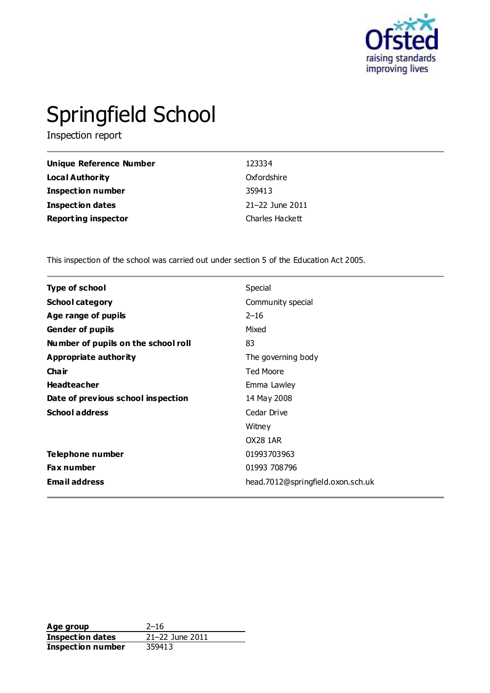

# Springfield School

Inspection report

| Unique Reference Number    | 123334          |
|----------------------------|-----------------|
| <b>Local Authority</b>     | Oxfordshire     |
| <b>Inspection number</b>   | 359413          |
| <b>Inspection dates</b>    | 21-22 June 2011 |
| <b>Reporting inspector</b> | Charles Hackett |

This inspection of the school was carried out under section 5 of the Education Act 2005.

| <b>Type of school</b>               | Special                           |
|-------------------------------------|-----------------------------------|
| <b>School category</b>              | Community special                 |
| Age range of pupils                 | $2 - 16$                          |
| <b>Gender of pupils</b>             | Mixed                             |
| Number of pupils on the school roll | 83                                |
| <b>Appropriate authority</b>        | The governing body                |
| Cha ir                              | <b>Ted Moore</b>                  |
| <b>Headteacher</b>                  | Emma Lawley                       |
| Date of previous school inspection  | 14 May 2008                       |
| <b>School address</b>               | Cedar Drive                       |
|                                     | Witney                            |
|                                     | <b>OX28 1AR</b>                   |
| Telephone number                    | 01993703963                       |
| <b>Fax number</b>                   | 01993 708796                      |
| <b>Email address</b>                | head.7012@springfield.oxon.sch.uk |

Age group<br> **Inspection dates** 21–22 June 2011 **Inspection dates Inspection number** 359413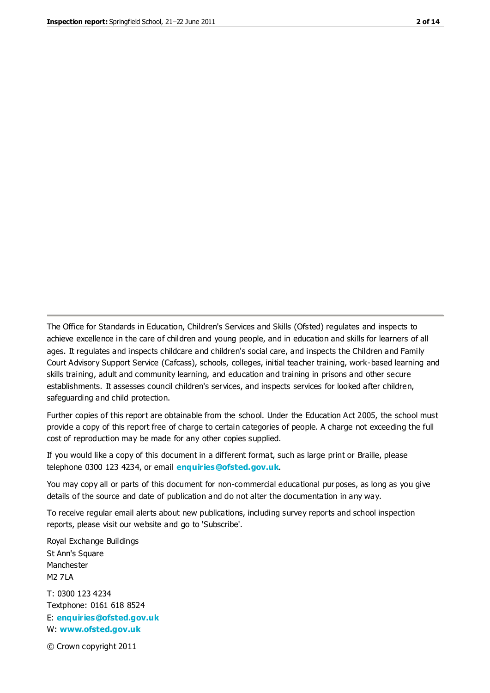The Office for Standards in Education, Children's Services and Skills (Ofsted) regulates and inspects to achieve excellence in the care of children and young people, and in education and skills for learners of all ages. It regulates and inspects childcare and children's social care, and inspects the Children and Family Court Advisory Support Service (Cafcass), schools, colleges, initial teacher training, work-based learning and skills training, adult and community learning, and education and training in prisons and other secure establishments. It assesses council children's services, and inspects services for looked after children, safeguarding and child protection.

Further copies of this report are obtainable from the school. Under the Education Act 2005, the school must provide a copy of this report free of charge to certain categories of people. A charge not exceeding the full cost of reproduction may be made for any other copies supplied.

If you would like a copy of this document in a different format, such as large print or Braille, please telephone 0300 123 4234, or email **[enquiries@ofsted.gov.uk](mailto:enquiries@ofsted.gov.uk)**.

You may copy all or parts of this document for non-commercial educational purposes, as long as you give details of the source and date of publication and do not alter the documentation in any way.

To receive regular email alerts about new publications, including survey reports and school inspection reports, please visit our website and go to 'Subscribe'.

Royal Exchange Buildings St Ann's Square Manchester M2 7LA T: 0300 123 4234 Textphone: 0161 618 8524 E: **[enquiries@ofsted.gov.uk](mailto:enquiries@ofsted.gov.uk)**

W: **[www.ofsted.gov.uk](http://www.ofsted.gov.uk/)**

© Crown copyright 2011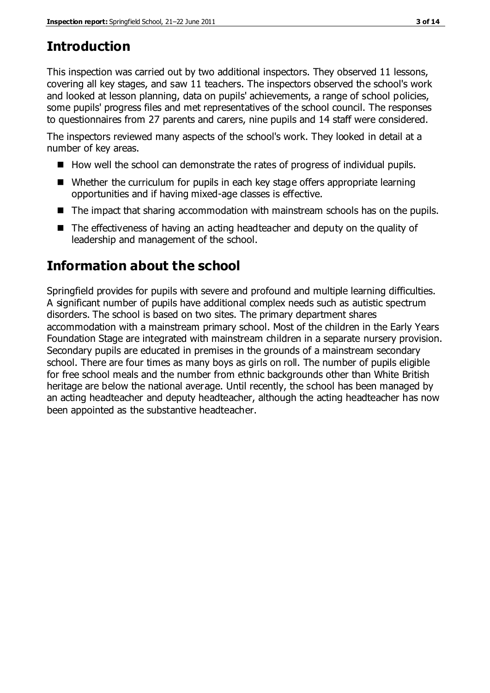# **Introduction**

This inspection was carried out by two additional inspectors. They observed 11 lessons, covering all key stages, and saw 11 teachers. The inspectors observed the school's work and looked at lesson planning, data on pupils' achievements, a range of school policies, some pupils' progress files and met representatives of the school council. The responses to questionnaires from 27 parents and carers, nine pupils and 14 staff were considered.

The inspectors reviewed many aspects of the school's work. They looked in detail at a number of key areas.

- $\blacksquare$  How well the school can demonstrate the rates of progress of individual pupils.
- Whether the curriculum for pupils in each key stage offers appropriate learning opportunities and if having mixed-age classes is effective.
- The impact that sharing accommodation with mainstream schools has on the pupils.
- The effectiveness of having an acting headteacher and deputy on the quality of leadership and management of the school.

# **Information about the school**

Springfield provides for pupils with severe and profound and multiple learning difficulties. A significant number of pupils have additional complex needs such as autistic spectrum disorders. The school is based on two sites. The primary department shares accommodation with a mainstream primary school. Most of the children in the Early Years Foundation Stage are integrated with mainstream children in a separate nursery provision. Secondary pupils are educated in premises in the grounds of a mainstream secondary school. There are four times as many boys as girls on roll. The number of pupils eligible for free school meals and the number from ethnic backgrounds other than White British heritage are below the national average. Until recently, the school has been managed by an acting headteacher and deputy headteacher, although the acting headteacher has now been appointed as the substantive headteacher.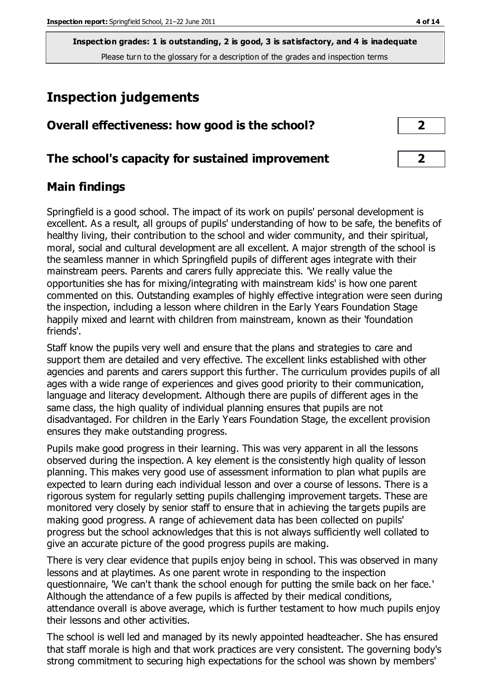# **Inspection judgements**

| Overall effectiveness: how good is the school?  | $\overline{2}$ |  |
|-------------------------------------------------|----------------|--|
| The school's capacity for sustained improvement |                |  |

# **Main findings**

Springfield is a good school. The impact of its work on pupils' personal development is excellent. As a result, all groups of pupils' understanding of how to be safe, the benefits of healthy living, their contribution to the school and wider community, and their spiritual, moral, social and cultural development are all excellent. A major strength of the school is the seamless manner in which Springfield pupils of different ages integrate with their mainstream peers. Parents and carers fully appreciate this. 'We really value the opportunities she has for mixing/integrating with mainstream kids' is how one parent commented on this. Outstanding examples of highly effective integration were seen during the inspection, including a lesson where children in the Early Years Foundation Stage happily mixed and learnt with children from mainstream, known as their 'foundation friends'.

Staff know the pupils very well and ensure that the plans and strategies to care and support them are detailed and very effective. The excellent links established with other agencies and parents and carers support this further. The curriculum provides pupils of all ages with a wide range of experiences and gives good priority to their communication, language and literacy development. Although there are pupils of different ages in the same class, the high quality of individual planning ensures that pupils are not disadvantaged. For children in the Early Years Foundation Stage, the excellent provision ensures they make outstanding progress.

Pupils make good progress in their learning. This was very apparent in all the lessons observed during the inspection. A key element is the consistently high quality of lesson planning. This makes very good use of assessment information to plan what pupils are expected to learn during each individual lesson and over a course of lessons. There is a rigorous system for regularly setting pupils challenging improvement targets. These are monitored very closely by senior staff to ensure that in achieving the targets pupils are making good progress. A range of achievement data has been collected on pupils' progress but the school acknowledges that this is not always sufficiently well collated to give an accurate picture of the good progress pupils are making.

There is very clear evidence that pupils enjoy being in school. This was observed in many lessons and at playtimes. As one parent wrote in responding to the inspection questionnaire, 'We can't thank the school enough for putting the smile back on her face.' Although the attendance of a few pupils is affected by their medical conditions, attendance overall is above average, which is further testament to how much pupils enjoy their lessons and other activities.

The school is well led and managed by its newly appointed headteacher. She has ensured that staff morale is high and that work practices are very consistent. The governing body's strong commitment to securing high expectations for the school was shown by members'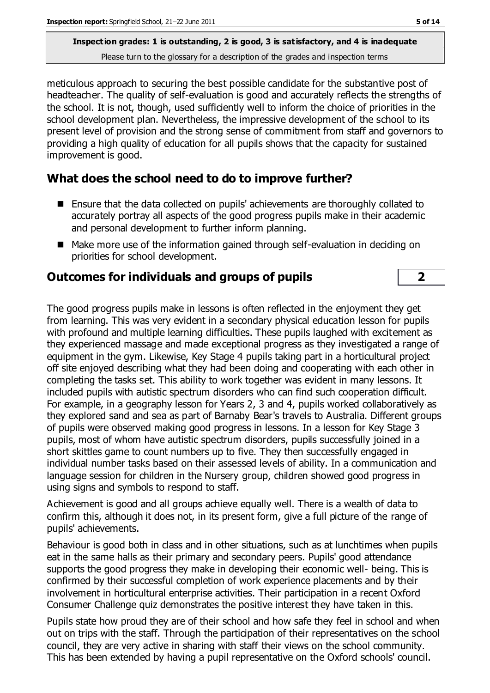meticulous approach to securing the best possible candidate for the substantive post of headteacher. The quality of self-evaluation is good and accurately reflects the strengths of the school. It is not, though, used sufficiently well to inform the choice of priorities in the school development plan. Nevertheless, the impressive development of the school to its present level of provision and the strong sense of commitment from staff and governors to providing a high quality of education for all pupils shows that the capacity for sustained improvement is good.

## **What does the school need to do to improve further?**

- Ensure that the data collected on pupils' achievements are thoroughly collated to accurately portray all aspects of the good progress pupils make in their academic and personal development to further inform planning.
- Make more use of the information gained through self-evaluation in deciding on priorities for school development.

#### **Outcomes for individuals and groups of pupils 2**

The good progress pupils make in lessons is often reflected in the enjoyment they get from learning. This was very evident in a secondary physical education lesson for pupils with profound and multiple learning difficulties. These pupils laughed with excitement as they experienced massage and made exceptional progress as they investigated a range of equipment in the gym. Likewise, Key Stage 4 pupils taking part in a horticultural project off site enjoyed describing what they had been doing and cooperating with each other in completing the tasks set. This ability to work together was evident in many lessons. It included pupils with autistic spectrum disorders who can find such cooperation difficult. For example, in a geography lesson for Years 2, 3 and 4, pupils worked collaboratively as they explored sand and sea as part of Barnaby Bear's travels to Australia. Different groups of pupils were observed making good progress in lessons. In a lesson for Key Stage 3 pupils, most of whom have autistic spectrum disorders, pupils successfully joined in a short skittles game to count numbers up to five. They then successfully engaged in individual number tasks based on their assessed levels of ability. In a communication and language session for children in the Nursery group, children showed good progress in using signs and symbols to respond to staff.

Achievement is good and all groups achieve equally well. There is a wealth of data to confirm this, although it does not, in its present form, give a full picture of the range of pupils' achievements.

Behaviour is good both in class and in other situations, such as at lunchtimes when pupils eat in the same halls as their primary and secondary peers. Pupils' good attendance supports the good progress they make in developing their economic well- being. This is confirmed by their successful completion of work experience placements and by their involvement in horticultural enterprise activities. Their participation in a recent Oxford Consumer Challenge quiz demonstrates the positive interest they have taken in this.

Pupils state how proud they are of their school and how safe they feel in school and when out on trips with the staff. Through the participation of their representatives on the school council, they are very active in sharing with staff their views on the school community. This has been extended by having a pupil representative on the Oxford schools' council.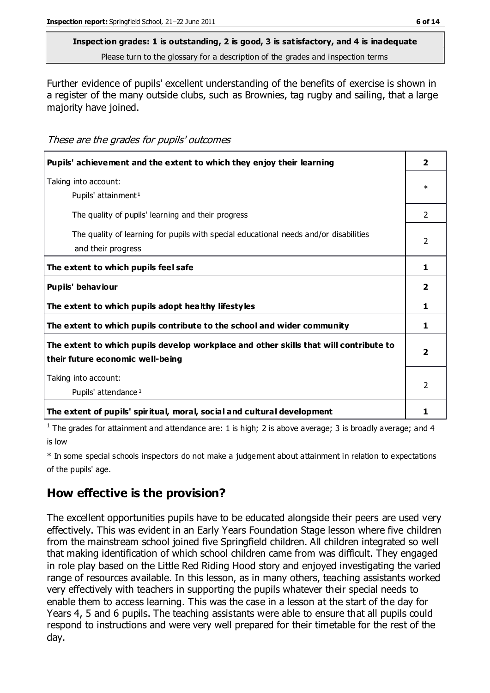#### **Inspection grades: 1 is outstanding, 2 is good, 3 is satisfactory, and 4 is inadequate**

Please turn to the glossary for a description of the grades and inspection terms

Further evidence of pupils' excellent understanding of the benefits of exercise is shown in a register of the many outside clubs, such as Brownies, tag rugby and sailing, that a large majority have joined.

#### These are the grades for pupils' outcomes

| Pupils' achievement and the extent to which they enjoy their learning                                                     | 2              |
|---------------------------------------------------------------------------------------------------------------------------|----------------|
| Taking into account:<br>Pupils' attainment <sup>1</sup>                                                                   | $\ast$         |
| The quality of pupils' learning and their progress                                                                        | $\mathcal{P}$  |
| The quality of learning for pupils with special educational needs and/or disabilities<br>and their progress               | $\mathcal{P}$  |
| The extent to which pupils feel safe                                                                                      | 1              |
| Pupils' behaviour                                                                                                         | 2              |
| The extent to which pupils adopt healthy lifestyles                                                                       | 1              |
| The extent to which pupils contribute to the school and wider community                                                   | 1.             |
| The extent to which pupils develop workplace and other skills that will contribute to<br>their future economic well-being | 2              |
| Taking into account:<br>Pupils' attendance <sup>1</sup>                                                                   | $\mathfrak{p}$ |
| The extent of pupils' spiritual, moral, social and cultural development                                                   | ı              |

<sup>1</sup> The grades for attainment and attendance are: 1 is high; 2 is above average; 3 is broadly average; and 4 is low

\* In some special schools inspectors do not make a judgement about attainment in relation to expectations of the pupils' age.

# **How effective is the provision?**

The excellent opportunities pupils have to be educated alongside their peers are used very effectively. This was evident in an Early Years Foundation Stage lesson where five children from the mainstream school joined five Springfield children. All children integrated so well that making identification of which school children came from was difficult. They engaged in role play based on the Little Red Riding Hood story and enjoyed investigating the varied range of resources available. In this lesson, as in many others, teaching assistants worked very effectively with teachers in supporting the pupils whatever their special needs to enable them to access learning. This was the case in a lesson at the start of the day for Years 4, 5 and 6 pupils. The teaching assistants were able to ensure that all pupils could respond to instructions and were very well prepared for their timetable for the rest of the day.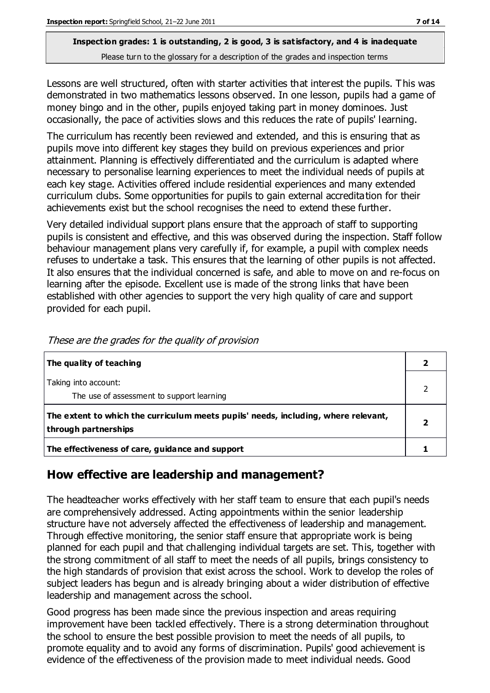Lessons are well structured, often with starter activities that interest the pupils. This was demonstrated in two mathematics lessons observed. In one lesson, pupils had a game of money bingo and in the other, pupils enjoyed taking part in money dominoes. Just occasionally, the pace of activities slows and this reduces the rate of pupils' learning.

The curriculum has recently been reviewed and extended, and this is ensuring that as pupils move into different key stages they build on previous experiences and prior attainment. Planning is effectively differentiated and the curriculum is adapted where necessary to personalise learning experiences to meet the individual needs of pupils at each key stage. Activities offered include residential experiences and many extended curriculum clubs. Some opportunities for pupils to gain external accreditation for their achievements exist but the school recognises the need to extend these further.

Very detailed individual support plans ensure that the approach of staff to supporting pupils is consistent and effective, and this was observed during the inspection. Staff follow behaviour management plans very carefully if, for example, a pupil with complex needs refuses to undertake a task. This ensures that the learning of other pupils is not affected. It also ensures that the individual concerned is safe, and able to move on and re-focus on learning after the episode. Excellent use is made of the strong links that have been established with other agencies to support the very high quality of care and support provided for each pupil.

| The quality of teaching                                                                                    |  |
|------------------------------------------------------------------------------------------------------------|--|
| Taking into account:<br>The use of assessment to support learning                                          |  |
| The extent to which the curriculum meets pupils' needs, including, where relevant,<br>through partnerships |  |
| The effectiveness of care, guidance and support                                                            |  |

These are the grades for the quality of provision

# **How effective are leadership and management?**

The headteacher works effectively with her staff team to ensure that each pupil's needs are comprehensively addressed. Acting appointments within the senior leadership structure have not adversely affected the effectiveness of leadership and management. Through effective monitoring, the senior staff ensure that appropriate work is being planned for each pupil and that challenging individual targets are set. This, together with the strong commitment of all staff to meet the needs of all pupils, brings consistency to the high standards of provision that exist across the school. Work to develop the roles of subject leaders has begun and is already bringing about a wider distribution of effective leadership and management across the school.

Good progress has been made since the previous inspection and areas requiring improvement have been tackled effectively. There is a strong determination throughout the school to ensure the best possible provision to meet the needs of all pupils, to promote equality and to avoid any forms of discrimination. Pupils' good achievement is evidence of the effectiveness of the provision made to meet individual needs. Good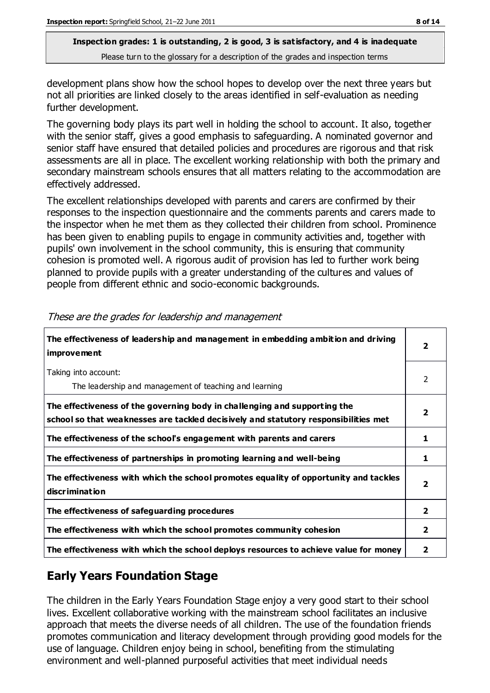development plans show how the school hopes to develop over the next three years but not all priorities are linked closely to the areas identified in self-evaluation as needing further development.

The governing body plays its part well in holding the school to account. It also, together with the senior staff, gives a good emphasis to safeguarding. A nominated governor and senior staff have ensured that detailed policies and procedures are rigorous and that risk assessments are all in place. The excellent working relationship with both the primary and secondary mainstream schools ensures that all matters relating to the accommodation are effectively addressed.

The excellent relationships developed with parents and carers are confirmed by their responses to the inspection questionnaire and the comments parents and carers made to the inspector when he met them as they collected their children from school. Prominence has been given to enabling pupils to engage in community activities and, together with pupils' own involvement in the school community, this is ensuring that community cohesion is promoted well. A rigorous audit of provision has led to further work being planned to provide pupils with a greater understanding of the cultures and values of people from different ethnic and socio-economic backgrounds.

| The effectiveness of leadership and management in embedding ambition and driving<br><i>improvement</i>                                                           |                         |
|------------------------------------------------------------------------------------------------------------------------------------------------------------------|-------------------------|
| Taking into account:<br>The leadership and management of teaching and learning                                                                                   | 2                       |
| The effectiveness of the governing body in challenging and supporting the<br>school so that weaknesses are tackled decisively and statutory responsibilities met | $\overline{\mathbf{2}}$ |
| The effectiveness of the school's engagement with parents and carers                                                                                             | 1                       |
| The effectiveness of partnerships in promoting learning and well-being                                                                                           | 1                       |
| The effectiveness with which the school promotes equality of opportunity and tackles<br>discrimination                                                           | $\overline{2}$          |
| The effectiveness of safeguarding procedures                                                                                                                     | $\overline{2}$          |
| The effectiveness with which the school promotes community cohesion                                                                                              | $\mathbf{2}$            |
| The effectiveness with which the school deploys resources to achieve value for money                                                                             | 2                       |

These are the grades for leadership and management

# **Early Years Foundation Stage**

The children in the Early Years Foundation Stage enjoy a very good start to their school lives. Excellent collaborative working with the mainstream school facilitates an inclusive approach that meets the diverse needs of all children. The use of the foundation friends promotes communication and literacy development through providing good models for the use of language. Children enjoy being in school, benefiting from the stimulating environment and well-planned purposeful activities that meet individual needs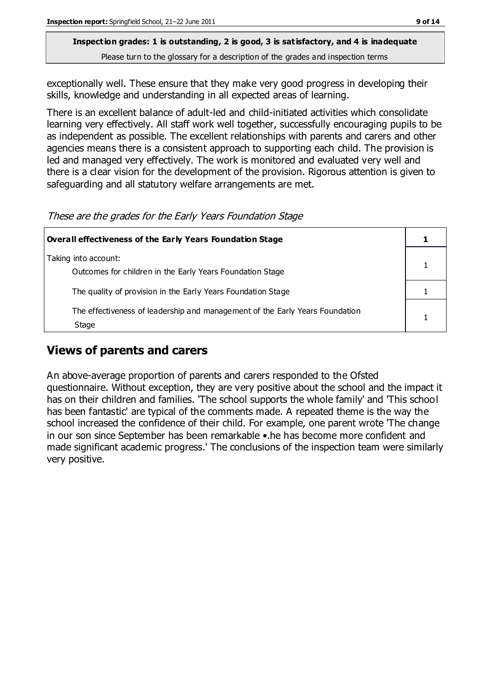exceptionally well. These ensure that they make very good progress in developing their skills, knowledge and understanding in all expected areas of learning.

There is an excellent balance of adult-led and child-initiated activities which consolidate learning very effectively. All staff work well together, successfully encouraging pupils to be as independent as possible. The excellent relationships with parents and carers and other agencies means there is a consistent approach to supporting each child. The provision is led and managed very effectively. The work is monitored and evaluated very well and there is a clear vision for the development of the provision. Rigorous attention is given to safeguarding and all statutory welfare arrangements are met.

These are the grades for the Early Years Foundation Stage

| Overall effectiveness of the Early Years Foundation Stage                             |  |  |
|---------------------------------------------------------------------------------------|--|--|
| Taking into account:<br>Outcomes for children in the Early Years Foundation Stage     |  |  |
| The quality of provision in the Early Years Foundation Stage                          |  |  |
| The effectiveness of leadership and management of the Early Years Foundation<br>Stage |  |  |

# **Views of parents and carers**

An above-average proportion of parents and carers responded to the Ofsted questionnaire. Without exception, they are very positive about the school and the impact it has on their children and families. 'The school supports the whole family' and 'This school has been fantastic' are typical of the comments made. A repeated theme is the way the school increased the confidence of their child. For example, one parent wrote 'The change in our son since September has been remarkable •.he has become more confident and made significant academic progress.' The conclusions of the inspection team were similarly very positive.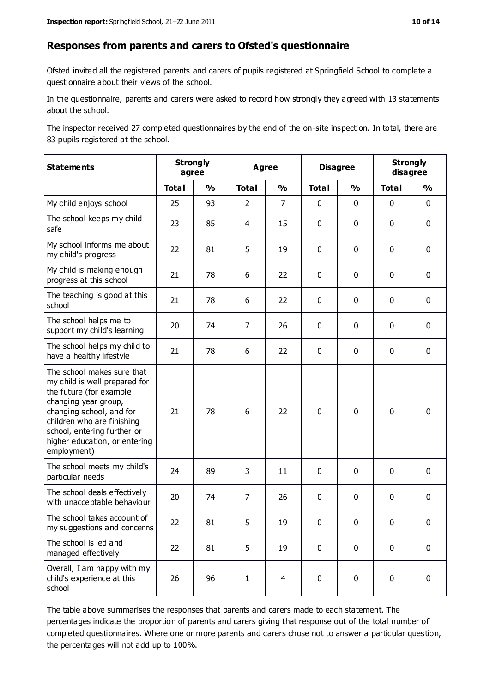#### **Responses from parents and carers to Ofsted's questionnaire**

Ofsted invited all the registered parents and carers of pupils registered at Springfield School to complete a questionnaire about their views of the school.

In the questionnaire, parents and carers were asked to record how strongly they agreed with 13 statements about the school.

The inspector received 27 completed questionnaires by the end of the on-site inspection. In total, there are 83 pupils registered at the school.

| <b>Statements</b>                                                                                                                                                                                                                                       |              | <b>Strongly</b><br><b>Agree</b><br>agree |                |                | <b>Disagree</b> |               | <b>Strongly</b><br>disagree |               |
|---------------------------------------------------------------------------------------------------------------------------------------------------------------------------------------------------------------------------------------------------------|--------------|------------------------------------------|----------------|----------------|-----------------|---------------|-----------------------------|---------------|
|                                                                                                                                                                                                                                                         | <b>Total</b> | $\frac{1}{2}$                            | <b>Total</b>   | $\frac{1}{2}$  | <b>Total</b>    | $\frac{1}{2}$ | <b>Total</b>                | $\frac{1}{2}$ |
| My child enjoys school                                                                                                                                                                                                                                  | 25           | 93                                       | $\overline{2}$ | $\overline{7}$ | 0               | $\mathbf 0$   | $\mathbf 0$                 | $\mathbf 0$   |
| The school keeps my child<br>safe                                                                                                                                                                                                                       | 23           | 85                                       | 4              | 15             | 0               | $\mathbf 0$   | $\mathbf 0$                 | $\mathbf 0$   |
| My school informs me about<br>my child's progress                                                                                                                                                                                                       | 22           | 81                                       | 5              | 19             | 0               | $\mathbf{0}$  | $\mathbf 0$                 | $\mathbf 0$   |
| My child is making enough<br>progress at this school                                                                                                                                                                                                    | 21           | 78                                       | 6              | 22             | 0               | $\mathbf 0$   | $\mathbf 0$                 | $\mathbf 0$   |
| The teaching is good at this<br>school                                                                                                                                                                                                                  | 21           | 78                                       | 6              | 22             | 0               | $\mathbf 0$   | $\mathbf 0$                 | $\mathbf 0$   |
| The school helps me to<br>support my child's learning                                                                                                                                                                                                   | 20           | 74                                       | $\overline{7}$ | 26             | 0               | $\mathbf{0}$  | $\mathbf 0$                 | $\mathbf 0$   |
| The school helps my child to<br>have a healthy lifestyle                                                                                                                                                                                                | 21           | 78                                       | 6              | 22             | 0               | $\mathbf 0$   | $\mathbf 0$                 | $\mathbf 0$   |
| The school makes sure that<br>my child is well prepared for<br>the future (for example<br>changing year group,<br>changing school, and for<br>children who are finishing<br>school, entering further or<br>higher education, or entering<br>employment) | 21           | 78                                       | 6              | 22             | $\mathbf 0$     | $\mathbf 0$   | $\mathbf 0$                 | $\mathbf 0$   |
| The school meets my child's<br>particular needs                                                                                                                                                                                                         | 24           | 89                                       | 3              | 11             | $\pmb{0}$       | $\mathbf 0$   | $\mathbf 0$                 | $\mathbf 0$   |
| The school deals effectively<br>with unacceptable behaviour                                                                                                                                                                                             | 20           | 74                                       | $\overline{7}$ | 26             | 0               | $\mathbf 0$   | $\mathbf 0$                 | $\pmb{0}$     |
| The school takes account of<br>my suggestions and concerns                                                                                                                                                                                              | 22           | 81                                       | 5              | 19             | 0               | $\Omega$      | $\Omega$                    | 0             |
| The school is led and<br>managed effectively                                                                                                                                                                                                            | 22           | 81                                       | 5              | 19             | $\mathbf 0$     | $\mathbf 0$   | $\mathbf 0$                 | $\mathbf 0$   |
| Overall, I am happy with my<br>child's experience at this<br>school                                                                                                                                                                                     | 26           | 96                                       | $\mathbf{1}$   | $\overline{4}$ | 0               | $\mathbf 0$   | $\mathbf 0$                 | $\mathbf 0$   |

The table above summarises the responses that parents and carers made to each statement. The percentages indicate the proportion of parents and carers giving that response out of the total number of completed questionnaires. Where one or more parents and carers chose not to answer a particular question, the percentages will not add up to 100%.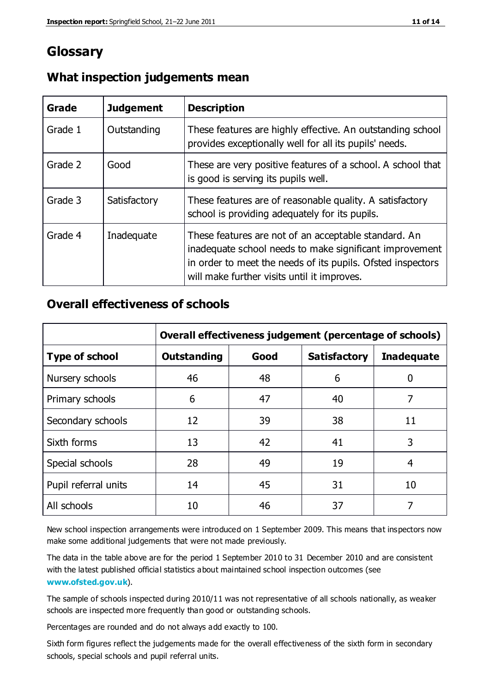# **Glossary**

| Grade   | <b>Judgement</b> | <b>Description</b>                                                                                                                                                                                                            |
|---------|------------------|-------------------------------------------------------------------------------------------------------------------------------------------------------------------------------------------------------------------------------|
| Grade 1 | Outstanding      | These features are highly effective. An outstanding school<br>provides exceptionally well for all its pupils' needs.                                                                                                          |
| Grade 2 | Good             | These are very positive features of a school. A school that<br>is good is serving its pupils well.                                                                                                                            |
| Grade 3 | Satisfactory     | These features are of reasonable quality. A satisfactory<br>school is providing adequately for its pupils.                                                                                                                    |
| Grade 4 | Inadequate       | These features are not of an acceptable standard. An<br>inadequate school needs to make significant improvement<br>in order to meet the needs of its pupils. Ofsted inspectors<br>will make further visits until it improves. |

## **What inspection judgements mean**

## **Overall effectiveness of schools**

|                       | Overall effectiveness judgement (percentage of schools) |      |                     |                   |
|-----------------------|---------------------------------------------------------|------|---------------------|-------------------|
| <b>Type of school</b> | <b>Outstanding</b>                                      | Good | <b>Satisfactory</b> | <b>Inadequate</b> |
| Nursery schools       | 46                                                      | 48   | 6                   |                   |
| Primary schools       | 6                                                       | 47   | 40                  | 7                 |
| Secondary schools     | 12                                                      | 39   | 38                  | 11                |
| Sixth forms           | 13                                                      | 42   | 41                  | 3                 |
| Special schools       | 28                                                      | 49   | 19                  | 4                 |
| Pupil referral units  | 14                                                      | 45   | 31                  | 10                |
| All schools           | 10                                                      | 46   | 37                  |                   |

New school inspection arrangements were introduced on 1 September 2009. This means that inspectors now make some additional judgements that were not made previously.

The data in the table above are for the period 1 September 2010 to 31 December 2010 and are consistent with the latest published official statistics about maintained school inspection outcomes (see **[www.ofsted.gov.uk](http://www.ofsted.gov.uk/)**).

The sample of schools inspected during 2010/11 was not representative of all schools nationally, as weaker schools are inspected more frequently than good or outstanding schools.

Percentages are rounded and do not always add exactly to 100.

Sixth form figures reflect the judgements made for the overall effectiveness of the sixth form in secondary schools, special schools and pupil referral units.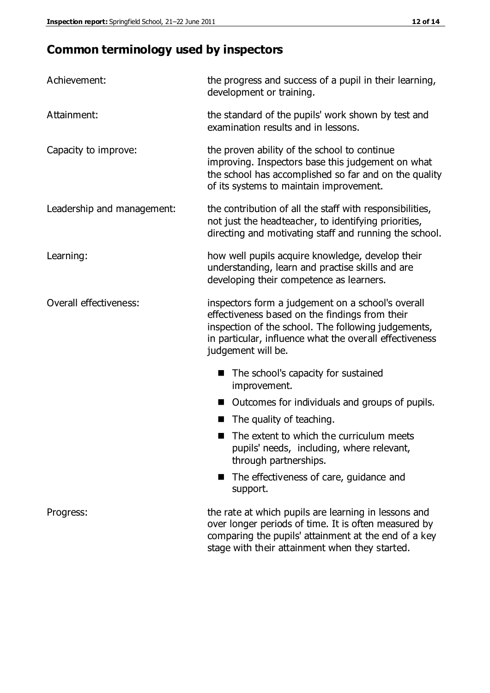# **Common terminology used by inspectors**

| Achievement:               | the progress and success of a pupil in their learning,<br>development or training.                                                                                                                                                          |  |  |
|----------------------------|---------------------------------------------------------------------------------------------------------------------------------------------------------------------------------------------------------------------------------------------|--|--|
| Attainment:                | the standard of the pupils' work shown by test and<br>examination results and in lessons.                                                                                                                                                   |  |  |
| Capacity to improve:       | the proven ability of the school to continue<br>improving. Inspectors base this judgement on what<br>the school has accomplished so far and on the quality<br>of its systems to maintain improvement.                                       |  |  |
| Leadership and management: | the contribution of all the staff with responsibilities,<br>not just the headteacher, to identifying priorities,<br>directing and motivating staff and running the school.                                                                  |  |  |
| Learning:                  | how well pupils acquire knowledge, develop their<br>understanding, learn and practise skills and are<br>developing their competence as learners.                                                                                            |  |  |
| Overall effectiveness:     | inspectors form a judgement on a school's overall<br>effectiveness based on the findings from their<br>inspection of the school. The following judgements,<br>in particular, influence what the overall effectiveness<br>judgement will be. |  |  |
|                            | The school's capacity for sustained<br>improvement.                                                                                                                                                                                         |  |  |
|                            | Outcomes for individuals and groups of pupils.                                                                                                                                                                                              |  |  |
|                            | The quality of teaching.                                                                                                                                                                                                                    |  |  |
|                            | The extent to which the curriculum meets<br>pupils' needs, including, where relevant,<br>through partnerships.                                                                                                                              |  |  |
|                            | The effectiveness of care, guidance and<br>support.                                                                                                                                                                                         |  |  |
| Progress:                  | the rate at which pupils are learning in lessons and<br>over longer periods of time. It is often measured by<br>comparing the pupils' attainment at the end of a key                                                                        |  |  |

stage with their attainment when they started.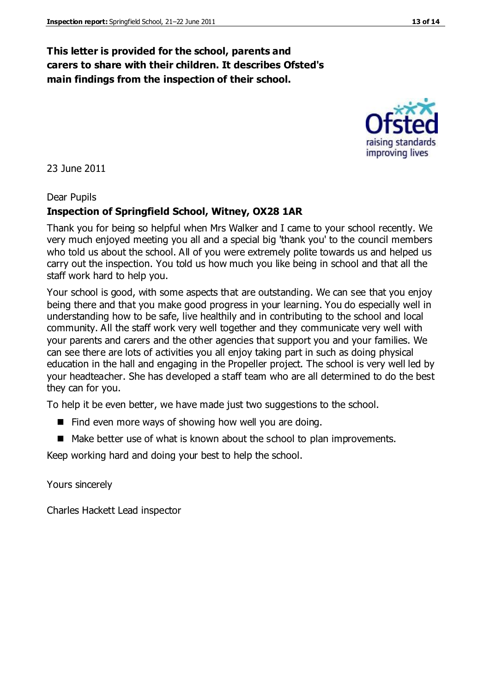# **This letter is provided for the school, parents and carers to share with their children. It describes Ofsted's main findings from the inspection of their school.**

23 June 2011

## Dear Pupils

# **Inspection of Springfield School, Witney, OX28 1AR**

Thank you for being so helpful when Mrs Walker and I came to your school recently. We very much enjoyed meeting you all and a special big 'thank you' to the council members who told us about the school. All of you were extremely polite towards us and helped us carry out the inspection. You told us how much you like being in school and that all the staff work hard to help you.

Your school is good, with some aspects that are outstanding. We can see that you enjoy being there and that you make good progress in your learning. You do especially well in understanding how to be safe, live healthily and in contributing to the school and local community. All the staff work very well together and they communicate very well with your parents and carers and the other agencies that support you and your families. We can see there are lots of activities you all enjoy taking part in such as doing physical education in the hall and engaging in the Propeller project. The school is very well led by your headteacher. She has developed a staff team who are all determined to do the best they can for you.

To help it be even better, we have made just two suggestions to the school.

- $\blacksquare$  Find even more ways of showing how well you are doing.
- Make better use of what is known about the school to plan improvements.

Keep working hard and doing your best to help the school.

Yours sincerely

Charles Hackett Lead inspector